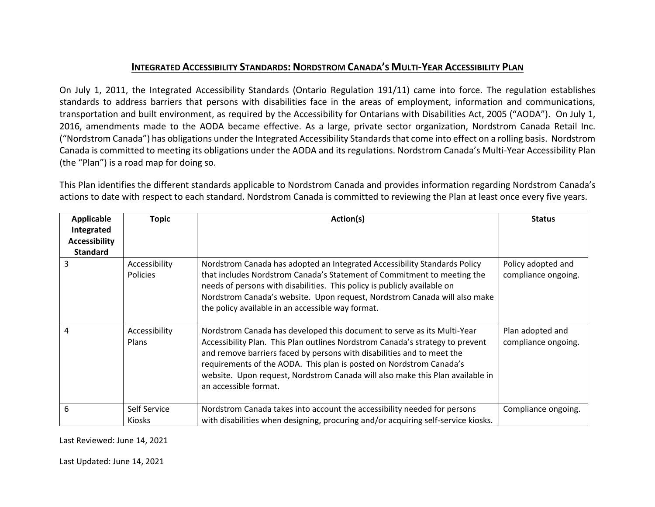## **INTEGRATED ACCESSIBILITY STANDARDS: NORDSTROM CANADA'S MULTI-YEAR ACCESSIBILITY PLAN**

On July 1, 2011, the Integrated Accessibility Standards (Ontario Regulation 191/11) came into force. The regulation establishes standards to address barriers that persons with disabilities face in the areas of employment, information and communications, transportation and built environment, as required by the Accessibility for Ontarians with Disabilities Act, 2005 ("AODA"). On July 1, 2016, amendments made to the AODA became effective. As a large, private sector organization, Nordstrom Canada Retail Inc. ("Nordstrom Canada") has obligations under the Integrated Accessibility Standards that come into effect on a rolling basis. Nordstrom Canada is committed to meeting its obligations under the AODA and its regulations. Nordstrom Canada's Multi-Year Accessibility Plan (the "Plan") is a road map for doing so.

This Plan identifies the different standards applicable to Nordstrom Canada and provides information regarding Nordstrom Canada's actions to date with respect to each standard. Nordstrom Canada is committed to reviewing the Plan at least once every five years.

| <b>Applicable</b><br>Integrated<br><b>Accessibility</b><br><b>Standard</b> | <b>Topic</b>                     | Action(s)                                                                                                                                                                                                                                                                                                                                                                                                           | <b>Status</b>                             |
|----------------------------------------------------------------------------|----------------------------------|---------------------------------------------------------------------------------------------------------------------------------------------------------------------------------------------------------------------------------------------------------------------------------------------------------------------------------------------------------------------------------------------------------------------|-------------------------------------------|
| 3                                                                          | Accessibility<br><b>Policies</b> | Nordstrom Canada has adopted an Integrated Accessibility Standards Policy<br>that includes Nordstrom Canada's Statement of Commitment to meeting the<br>needs of persons with disabilities. This policy is publicly available on<br>Nordstrom Canada's website. Upon request, Nordstrom Canada will also make<br>the policy available in an accessible way format.                                                  | Policy adopted and<br>compliance ongoing. |
| 4                                                                          | Accessibility<br>Plans           | Nordstrom Canada has developed this document to serve as its Multi-Year<br>Accessibility Plan. This Plan outlines Nordstrom Canada's strategy to prevent<br>and remove barriers faced by persons with disabilities and to meet the<br>requirements of the AODA. This plan is posted on Nordstrom Canada's<br>website. Upon request, Nordstrom Canada will also make this Plan available in<br>an accessible format. | Plan adopted and<br>compliance ongoing.   |
| 6                                                                          | Self Service<br><b>Kiosks</b>    | Nordstrom Canada takes into account the accessibility needed for persons<br>with disabilities when designing, procuring and/or acquiring self-service kiosks.                                                                                                                                                                                                                                                       | Compliance ongoing.                       |

Last Reviewed: June 14, 2021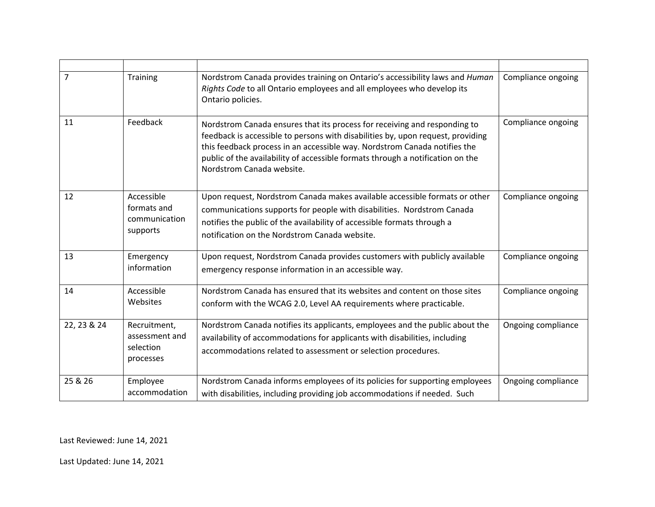| $\overline{7}$ | Training                                                 | Nordstrom Canada provides training on Ontario's accessibility laws and Human<br>Rights Code to all Ontario employees and all employees who develop its<br>Ontario policies.                                                                                                                                                                              | Compliance ongoing |
|----------------|----------------------------------------------------------|----------------------------------------------------------------------------------------------------------------------------------------------------------------------------------------------------------------------------------------------------------------------------------------------------------------------------------------------------------|--------------------|
| 11             | Feedback                                                 | Nordstrom Canada ensures that its process for receiving and responding to<br>feedback is accessible to persons with disabilities by, upon request, providing<br>this feedback process in an accessible way. Nordstrom Canada notifies the<br>public of the availability of accessible formats through a notification on the<br>Nordstrom Canada website. | Compliance ongoing |
| 12             | Accessible<br>formats and<br>communication<br>supports   | Upon request, Nordstrom Canada makes available accessible formats or other<br>communications supports for people with disabilities. Nordstrom Canada<br>notifies the public of the availability of accessible formats through a<br>notification on the Nordstrom Canada website.                                                                         | Compliance ongoing |
| 13             | Emergency<br>information                                 | Upon request, Nordstrom Canada provides customers with publicly available<br>emergency response information in an accessible way.                                                                                                                                                                                                                        | Compliance ongoing |
| 14             | Accessible<br>Websites                                   | Nordstrom Canada has ensured that its websites and content on those sites<br>conform with the WCAG 2.0, Level AA requirements where practicable.                                                                                                                                                                                                         | Compliance ongoing |
| 22, 23 & 24    | Recruitment,<br>assessment and<br>selection<br>processes | Nordstrom Canada notifies its applicants, employees and the public about the<br>availability of accommodations for applicants with disabilities, including<br>accommodations related to assessment or selection procedures.                                                                                                                              | Ongoing compliance |
| 25 & 26        | Employee<br>accommodation                                | Nordstrom Canada informs employees of its policies for supporting employees<br>with disabilities, including providing job accommodations if needed. Such                                                                                                                                                                                                 | Ongoing compliance |

Last Reviewed: June 14, 2021

Last Updated: June 14, 2021